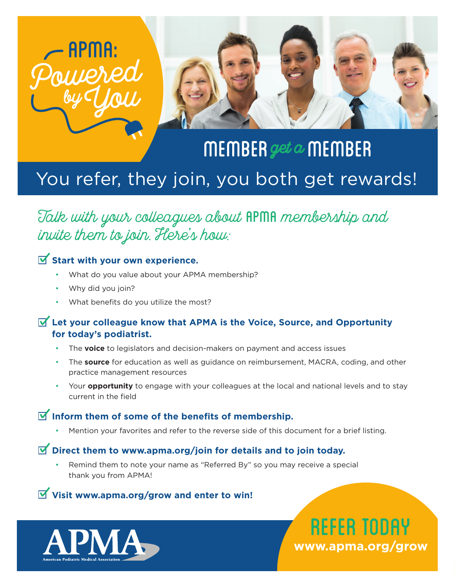



# MEMBER get  $\alpha$  MEMBER You refer, they join, you both get rewards!

## Talk with your colleagues about APMA membership and invite them to join. Here's how:

## **Start with your own experience.**

- What do you value about your APMA membership?
- Why did you join?
- What benefits do you utilize the most?

#### **Let your colleague know that APMA is the Voice, Source, and Opportunity for today's podiatrist.**

- The **voice** to legislators and decision-makers on payment and access issues
- The **source** for education as well as guidance on reimbursement, MACRA, coding, and other practice management resources
- Your **opportunity** to engage with your colleagues at the local and national levels and to stay current in the field

## **Inform them of some of the benefits of membership.**

• Mention your favorites and refer to the reverse side of this document for a brief listing.

#### **Direct them to www.apma.org/join for details and to join today.**

• Remind them to note your name as "Referred By" so you may receive a special thank you from APMA!

### **Visit www.apma.org/grow and enter to win!**



REFER TODAY **www.apma.org/grow**